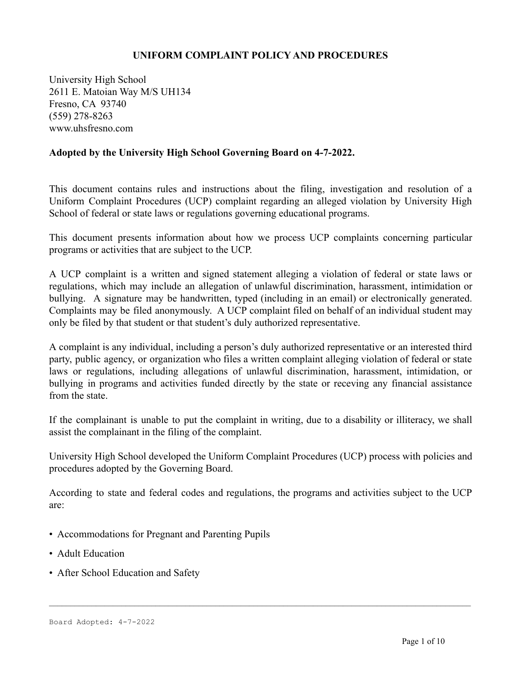#### **UNIFORM COMPLAINT POLICY AND PROCEDURES**

University High School 2611 E. Matoian Way M/S UH134 Fresno, CA 93740 (559) 278-8263 www.uhsfresno.com

#### **Adopted by the University High School Governing Board on 4-7-2022.**

This document contains rules and instructions about the filing, investigation and resolution of a Uniform Complaint Procedures (UCP) complaint regarding an alleged violation by University High School of federal or state laws or regulations governing educational programs.

This document presents information about how we process UCP complaints concerning particular programs or activities that are subject to the UCP.

A UCP complaint is a written and signed statement alleging a violation of federal or state laws or regulations, which may include an allegation of unlawful discrimination, harassment, intimidation or bullying. A signature may be handwritten, typed (including in an email) or electronically generated. Complaints may be filed anonymously. A UCP complaint filed on behalf of an individual student may only be filed by that student or that student's duly authorized representative.

A complaint is any individual, including a person's duly authorized representative or an interested third party, public agency, or organization who files a written complaint alleging violation of federal or state laws or regulations, including allegations of unlawful discrimination, harassment, intimidation, or bullying in programs and activities funded directly by the state or receving any financial assistance from the state.

If the complainant is unable to put the complaint in writing, due to a disability or illiteracy, we shall assist the complainant in the filing of the complaint.

University High School developed the Uniform Complaint Procedures (UCP) process with policies and procedures adopted by the Governing Board.

According to state and federal codes and regulations, the programs and activities subject to the UCP are:

- Accommodations for Pregnant and Parenting Pupils
- Adult Education
- After School Education and Safety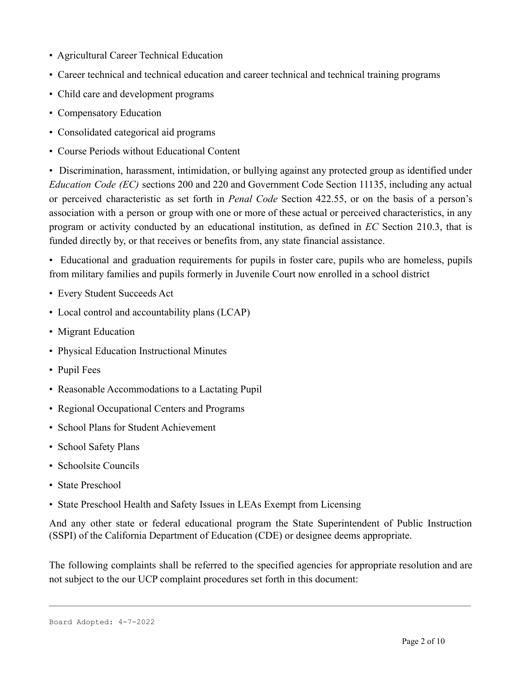- Agricultural Career Technical Education
- Career technical and technical education and career technical and technical training programs
- Child care and development programs
- Compensatory Education
- Consolidated categorical aid programs
- Course Periods without Educational Content

• Discrimination, harassment, intimidation, or bullying against any protected group as identified under *Education Code (EC)* sections 200 and 220 and Government Code Section 11135, including any actual or perceived characteristic as set forth in *Penal Code* Section 422.55, or on the basis of a person's association with a person or group with one or more of these actual or perceived characteristics, in any program or activity conducted by an educational institution, as defined in *EC* Section 210.3, that is funded directly by, or that receives or benefits from, any state financial assistance.

• Educational and graduation requirements for pupils in foster care, pupils who are homeless, pupils from military families and pupils formerly in Juvenile Court now enrolled in a school district

- Every Student Succeeds Act
- Local control and accountability plans (LCAP)
- Migrant Education
- Physical Education Instructional Minutes
- Pupil Fees
- Reasonable Accommodations to a Lactating Pupil
- Regional Occupational Centers and Programs
- School Plans for Student Achievement
- School Safety Plans
- Schoolsite Councils
- State Preschool
- State Preschool Health and Safety Issues in LEAs Exempt from Licensing

And any other state or federal educational program the State Superintendent of Public Instruction (SSPI) of the California Department of Education (CDE) or designee deems appropriate.

The following complaints shall be referred to the specified agencies for appropriate resolution and are not subject to the our UCP complaint procedures set forth in this document: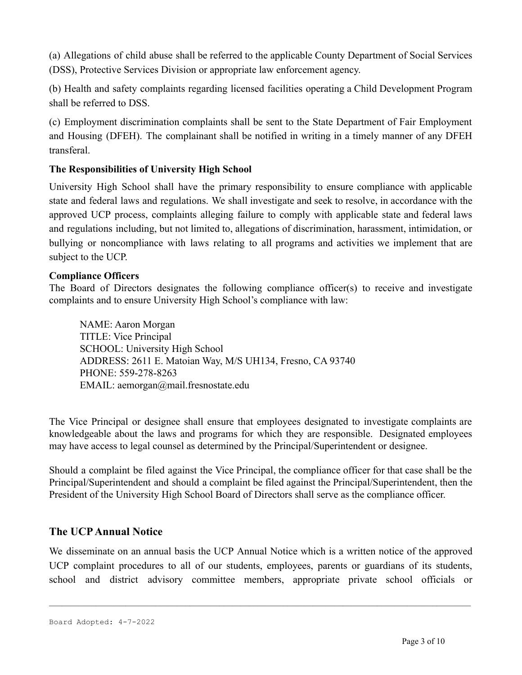(a) Allegations of child abuse shall be referred to the applicable County Department of Social Services (DSS), Protective Services Division or appropriate law enforcement agency.

(b) Health and safety complaints regarding licensed facilities operating a Child Development Program shall be referred to DSS.

(c) Employment discrimination complaints shall be sent to the State Department of Fair Employment and Housing (DFEH). The complainant shall be notified in writing in a timely manner of any DFEH transferal.

#### **The Responsibilities of University High School**

University High School shall have the primary responsibility to ensure compliance with applicable state and federal laws and regulations. We shall investigate and seek to resolve, in accordance with the approved UCP process, complaints alleging failure to comply with applicable state and federal laws and regulations including, but not limited to, allegations of discrimination, harassment, intimidation, or bullying or noncompliance with laws relating to all programs and activities we implement that are subject to the UCP.

#### **Compliance Officers**

The Board of Directors designates the following compliance officer(s) to receive and investigate complaints and to ensure University High School's compliance with law:

NAME: Aaron Morgan TITLE: Vice Principal SCHOOL: University High School ADDRESS: 2611 E. Matoian Way, M/S UH134, Fresno, CA 93740 PHONE: 559-278-8263 EMAIL: aemorgan@mail.fresnostate.edu

The Vice Principal or designee shall ensure that employees designated to investigate complaints are knowledgeable about the laws and programs for which they are responsible. Designated employees may have access to legal counsel as determined by the Principal/Superintendent or designee.

Should a complaint be filed against the Vice Principal, the compliance officer for that case shall be the Principal/Superintendent and should a complaint be filed against the Principal/Superintendent, then the President of the University High School Board of Directors shall serve as the compliance officer.

### **The UCPAnnual Notice**

We disseminate on an annual basis the UCP Annual Notice which is a written notice of the approved UCP complaint procedures to all of our students, employees, parents or guardians of its students, school and district advisory committee members, appropriate private school officials or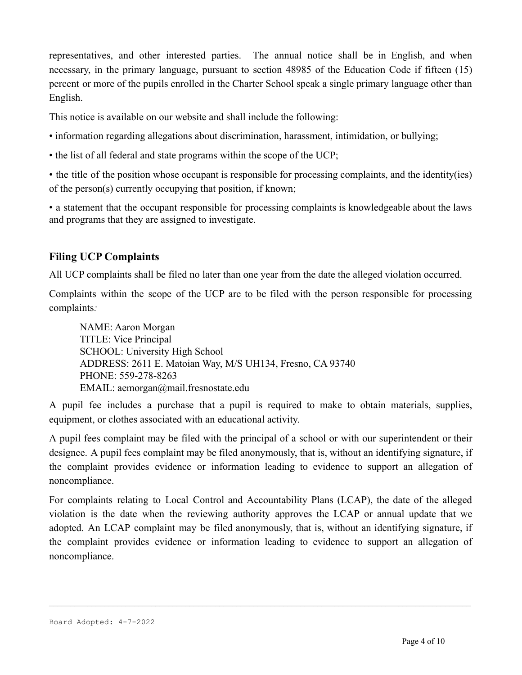representatives, and other interested parties. The annual notice shall be in English, and when necessary, in the primary language, pursuant to section 48985 of the Education Code if fifteen (15) percent or more of the pupils enrolled in the Charter School speak a single primary language other than English.

This notice is available on our website and shall include the following:

- information regarding allegations about discrimination, harassment, intimidation, or bullying;
- the list of all federal and state programs within the scope of the UCP;

• the title of the position whose occupant is responsible for processing complaints, and the identity(ies) of the person(s) currently occupying that position, if known;

• a statement that the occupant responsible for processing complaints is knowledgeable about the laws and programs that they are assigned to investigate.

### **Filing UCP Complaints**

All UCP complaints shall be filed no later than one year from the date the alleged violation occurred.

Complaints within the scope of the UCP are to be filed with the person responsible for processing complaints*:*

NAME: Aaron Morgan TITLE: Vice Principal SCHOOL: University High School ADDRESS: 2611 E. Matoian Way, M/S UH134, Fresno, CA 93740 PHONE: 559-278-8263 EMAIL: aemorgan@mail.fresnostate.edu

A pupil fee includes a purchase that a pupil is required to make to obtain materials, supplies, equipment, or clothes associated with an educational activity.

A pupil fees complaint may be filed with the principal of a school or with our superintendent or their designee. A pupil fees complaint may be filed anonymously, that is, without an identifying signature, if the complaint provides evidence or information leading to evidence to support an allegation of noncompliance.

For complaints relating to Local Control and Accountability Plans (LCAP), the date of the alleged violation is the date when the reviewing authority approves the LCAP or annual update that we adopted. An LCAP complaint may be filed anonymously, that is, without an identifying signature, if the complaint provides evidence or information leading to evidence to support an allegation of noncompliance.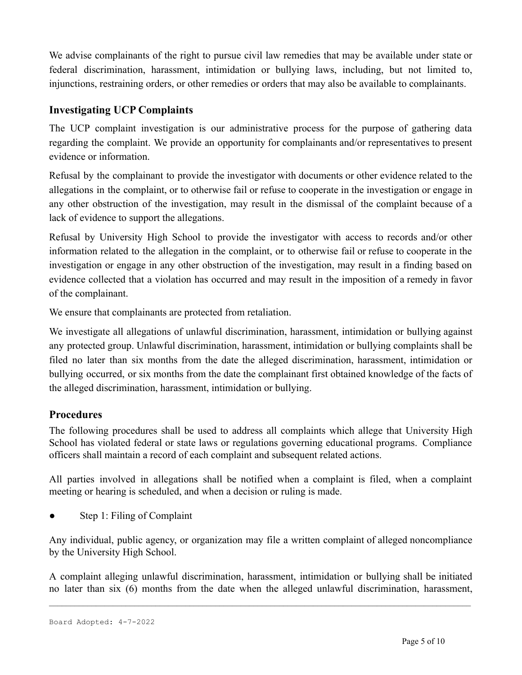We advise complainants of the right to pursue civil law remedies that may be available under state or federal discrimination, harassment, intimidation or bullying laws, including, but not limited to, injunctions, restraining orders, or other remedies or orders that may also be available to complainants.

# **Investigating UCP Complaints**

The UCP complaint investigation is our administrative process for the purpose of gathering data regarding the complaint. We provide an opportunity for complainants and/or representatives to present evidence or information.

Refusal by the complainant to provide the investigator with documents or other evidence related to the allegations in the complaint, or to otherwise fail or refuse to cooperate in the investigation or engage in any other obstruction of the investigation, may result in the dismissal of the complaint because of a lack of evidence to support the allegations.

Refusal by University High School to provide the investigator with access to records and/or other information related to the allegation in the complaint, or to otherwise fail or refuse to cooperate in the investigation or engage in any other obstruction of the investigation, may result in a finding based on evidence collected that a violation has occurred and may result in the imposition of a remedy in favor of the complainant.

We ensure that complainants are protected from retaliation.

We investigate all allegations of unlawful discrimination, harassment, intimidation or bullying against any protected group. Unlawful discrimination, harassment, intimidation or bullying complaints shall be filed no later than six months from the date the alleged discrimination, harassment, intimidation or bullying occurred, or six months from the date the complainant first obtained knowledge of the facts of the alleged discrimination, harassment, intimidation or bullying.

### **Procedures**

The following procedures shall be used to address all complaints which allege that University High School has violated federal or state laws or regulations governing educational programs. Compliance officers shall maintain a record of each complaint and subsequent related actions.

All parties involved in allegations shall be notified when a complaint is filed, when a complaint meeting or hearing is scheduled, and when a decision or ruling is made.

Step 1: Filing of Complaint

Any individual, public agency, or organization may file a written complaint of alleged noncompliance by the University High School.

A complaint alleging unlawful discrimination, harassment, intimidation or bullying shall be initiated no later than six (6) months from the date when the alleged unlawful discrimination, harassment,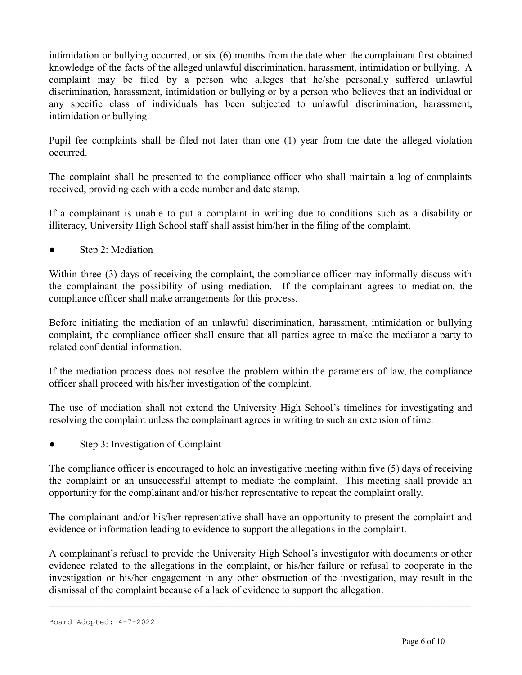intimidation or bullying occurred, or six (6) months from the date when the complainant first obtained knowledge of the facts of the alleged unlawful discrimination, harassment, intimidation or bullying. A complaint may be filed by a person who alleges that he/she personally suffered unlawful discrimination, harassment, intimidation or bullying or by a person who believes that an individual or any specific class of individuals has been subjected to unlawful discrimination, harassment, intimidation or bullying.

Pupil fee complaints shall be filed not later than one (1) year from the date the alleged violation occurred.

The complaint shall be presented to the compliance officer who shall maintain a log of complaints received, providing each with a code number and date stamp.

If a complainant is unable to put a complaint in writing due to conditions such as a disability or illiteracy, University High School staff shall assist him/her in the filing of the complaint.

• Step 2: Mediation

Within three (3) days of receiving the complaint, the compliance officer may informally discuss with the complainant the possibility of using mediation. If the complainant agrees to mediation, the compliance officer shall make arrangements for this process.

Before initiating the mediation of an unlawful discrimination, harassment, intimidation or bullying complaint, the compliance officer shall ensure that all parties agree to make the mediator a party to related confidential information.

If the mediation process does not resolve the problem within the parameters of law, the compliance officer shall proceed with his/her investigation of the complaint.

The use of mediation shall not extend the University High School's timelines for investigating and resolving the complaint unless the complainant agrees in writing to such an extension of time.

Step 3: Investigation of Complaint

The compliance officer is encouraged to hold an investigative meeting within five (5) days of receiving the complaint or an unsuccessful attempt to mediate the complaint. This meeting shall provide an opportunity for the complainant and/or his/her representative to repeat the complaint orally.

The complainant and/or his/her representative shall have an opportunity to present the complaint and evidence or information leading to evidence to support the allegations in the complaint.

A complainant's refusal to provide the University High School's investigator with documents or other evidence related to the allegations in the complaint, or his/her failure or refusal to cooperate in the investigation or his/her engagement in any other obstruction of the investigation, may result in the dismissal of the complaint because of a lack of evidence to support the allegation.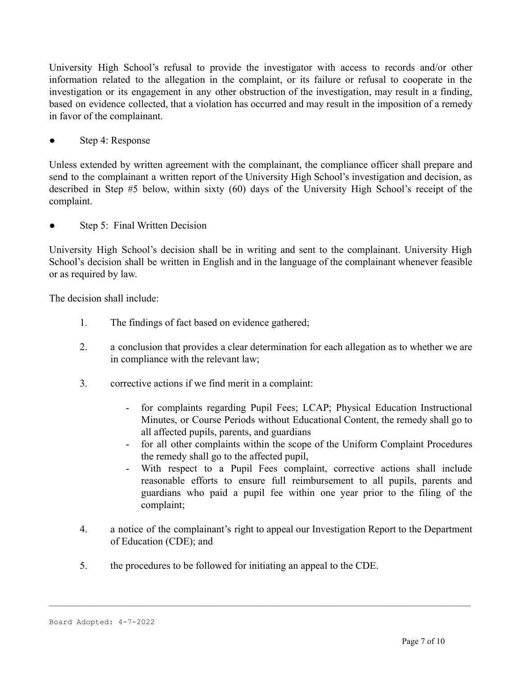University High School's refusal to provide the investigator with access to records and/or other information related to the allegation in the complaint, or its failure or refusal to cooperate in the investigation or its engagement in any other obstruction of the investigation, may result in a finding, based on evidence collected, that a violation has occurred and may result in the imposition of a remedy in favor of the complainant.

Step 4: Response

Unless extended by written agreement with the complainant, the compliance officer shall prepare and send to the complainant a written report of the University High School's investigation and decision, as described in Step #5 below, within sixty (60) days of the University High School's receipt of the complaint.

• Step 5: Final Written Decision

University High School's decision shall be in writing and sent to the complainant. University High School's decision shall be written in English and in the language of the complainant whenever feasible or as required by law.

The decision shall include:

- 1. The findings of fact based on evidence gathered;
- 2. a conclusion that provides a clear determination for each allegation as to whether we are in compliance with the relevant law;
- 3. corrective actions if we find merit in a complaint:
	- for complaints regarding Pupil Fees; LCAP; Physical Education Instructional Minutes, or Course Periods without Educational Content, the remedy shall go to all affected pupils, parents, and guardians
	- for all other complaints within the scope of the Uniform Complaint Procedures the remedy shall go to the affected pupil,
	- With respect to a Pupil Fees complaint, corrective actions shall include reasonable efforts to ensure full reimbursement to all pupils, parents and guardians who paid a pupil fee within one year prior to the filing of the complaint;
- 4. a notice of the complainant's right to appeal our Investigation Report to the Department of Education (CDE); and

 $\_$  , and the state of the state of the state of the state of the state of the state of the state of the state of the state of the state of the state of the state of the state of the state of the state of the state of the

5. the procedures to be followed for initiating an appeal to the CDE.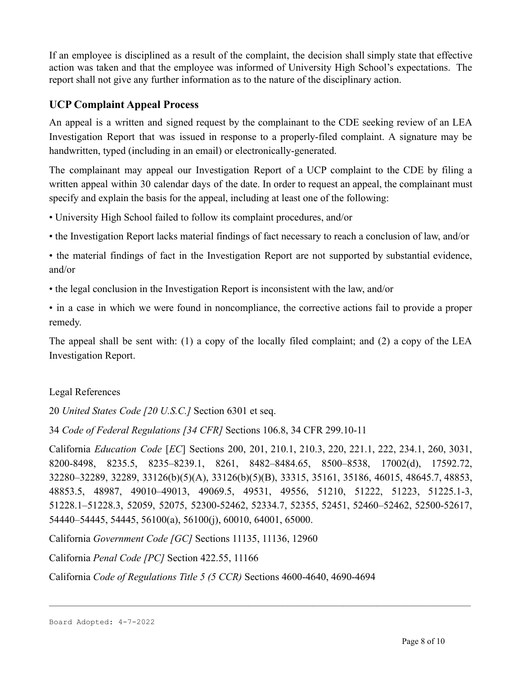If an employee is disciplined as a result of the complaint, the decision shall simply state that effective action was taken and that the employee was informed of University High School's expectations. The report shall not give any further information as to the nature of the disciplinary action.

# **UCP Complaint Appeal Process**

An appeal is a written and signed request by the complainant to the CDE seeking review of an LEA Investigation Report that was issued in response to a properly-filed complaint. A signature may be handwritten, typed (including in an email) or electronically-generated.

The complainant may appeal our Investigation Report of a UCP complaint to the CDE by filing a written appeal within 30 calendar days of the date. In order to request an appeal, the complainant must specify and explain the basis for the appeal, including at least one of the following:

• University High School failed to follow its complaint procedures, and/or

• the Investigation Report lacks material findings of fact necessary to reach a conclusion of law, and/or

• the material findings of fact in the Investigation Report are not supported by substantial evidence, and/or

• the legal conclusion in the Investigation Report is inconsistent with the law, and/or

• in a case in which we were found in noncompliance, the corrective actions fail to provide a proper remedy.

The appeal shall be sent with: (1) a copy of the locally filed complaint; and (2) a copy of the LEA Investigation Report.

#### Legal References

20 *United States Code [20 U.S.C.]* Section 6301 et seq.

34 *Code of Federal Regulations [34 CFR]* Sections 106.8, 34 CFR 299.10-11

California *Education Code* [*EC*] Sections 200, 201, 210.1, 210.3, 220, 221.1, 222, 234.1, 260, 3031, 8200-8498, 8235.5, 8235–8239.1, 8261, 8482–8484.65, 8500–8538, 17002(d), 17592.72, 32280–32289, 32289, 33126(b)(5)(A), 33126(b)(5)(B), 33315, 35161, 35186, 46015, 48645.7, 48853, 48853.5, 48987, 49010–49013, 49069.5, 49531, 49556, 51210, 51222, 51223, 51225.1-3, 51228.1–51228.3, 52059, 52075, 52300-52462, 52334.7, 52355, 52451, 52460–52462, 52500-52617, 54440–54445, 54445, 56100(a), 56100(j), 60010, 64001, 65000.

 $\_$  , and the state of the state of the state of the state of the state of the state of the state of the state of the state of the state of the state of the state of the state of the state of the state of the state of the

California *Government Code [GC]* Sections 11135, 11136, 12960

California *Penal Code [PC]* Section 422.55, 11166

California *Code of Regulations Title 5 (5 CCR)* Sections 4600-4640, 4690-4694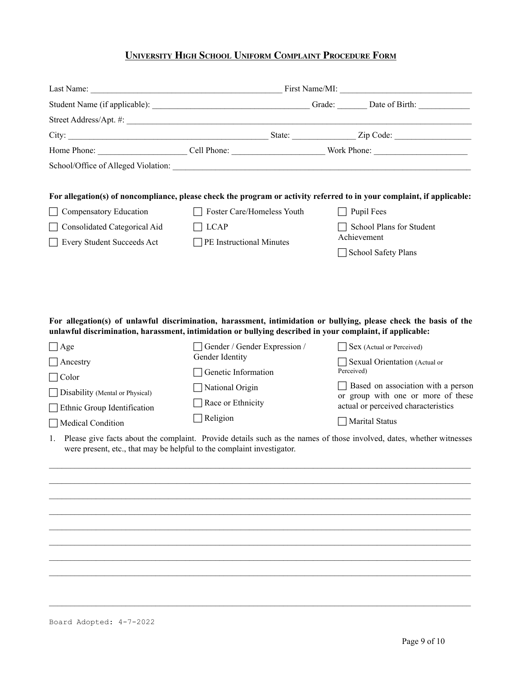# **UNIVERSITY HIGH SCHOOL UNIFORM COMPLAINT PROCEDURE FORM**

|                                                  |                                                                                                                                                                                     | For allegation(s) of noncompliance, please check the program or activity referred to in your complaint, if applicable:                                                                          |
|--------------------------------------------------|-------------------------------------------------------------------------------------------------------------------------------------------------------------------------------------|-------------------------------------------------------------------------------------------------------------------------------------------------------------------------------------------------|
| Compensatory Education                           | Foster Care/Homeless Youth                                                                                                                                                          | Pupil Fees                                                                                                                                                                                      |
| Consolidated Categorical Aid                     | <b>LCAP</b>                                                                                                                                                                         | School Plans for Student<br>Achievement                                                                                                                                                         |
| Every Student Succeeds Act                       | $\Box$ PE Instructional Minutes                                                                                                                                                     | School Safety Plans                                                                                                                                                                             |
| $\Box$ Age<br>$ $ Ancestry                       | unlawful discrimination, harassment, intimidation or bullying described in your complaint, if applicable:<br>Gender / Gender Expression /<br>Gender Identity<br>Genetic Information | For allegation(s) of unlawful discrimination, harassment, intimidation or bullying, please check the basis of the<br>  Sex (Actual or Perceived)<br>Sexual Orientation (Actual or<br>Perceived) |
| $\Box$ Color                                     | National Origin                                                                                                                                                                     | Based on association with a person                                                                                                                                                              |
| Disability (Mental or Physical)                  | Race or Ethnicity                                                                                                                                                                   | or group with one or more of these<br>actual or perceived characteristics                                                                                                                       |
| Ethnic Group Identification<br>Medical Condition | Religion                                                                                                                                                                            | <b>Marital Status</b>                                                                                                                                                                           |
| 1.                                               | were present, etc., that may be helpful to the complaint investigator.                                                                                                              | Please give facts about the complaint. Provide details such as the names of those involved, dates, whether witnesses                                                                            |
|                                                  |                                                                                                                                                                                     |                                                                                                                                                                                                 |
|                                                  |                                                                                                                                                                                     |                                                                                                                                                                                                 |
|                                                  |                                                                                                                                                                                     |                                                                                                                                                                                                 |
|                                                  |                                                                                                                                                                                     |                                                                                                                                                                                                 |
|                                                  |                                                                                                                                                                                     |                                                                                                                                                                                                 |
|                                                  |                                                                                                                                                                                     |                                                                                                                                                                                                 |
|                                                  |                                                                                                                                                                                     |                                                                                                                                                                                                 |